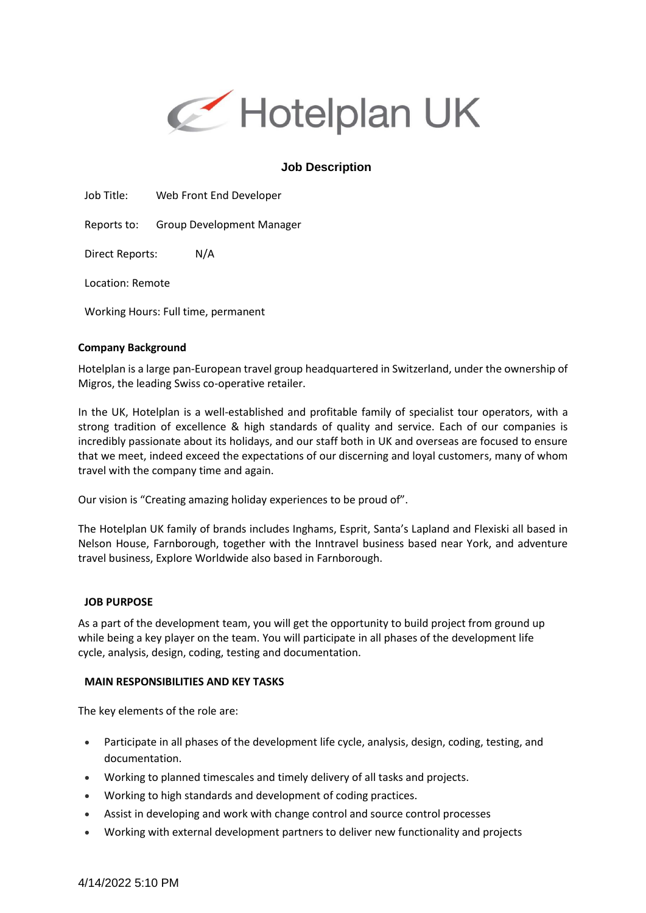

# **Job Description**

Job Title: Web Front End Developer

Reports to: Group Development Manager

Direct Reports: N/A

Location: Remote

Working Hours: Full time, permanent

### **Company Background**

Hotelplan is a large pan-European travel group headquartered in Switzerland, under the ownership of Migros, the leading Swiss co-operative retailer.

In the UK, Hotelplan is a well-established and profitable family of specialist tour operators, with a strong tradition of excellence & high standards of quality and service. Each of our companies is incredibly passionate about its holidays, and our staff both in UK and overseas are focused to ensure that we meet, indeed exceed the expectations of our discerning and loyal customers, many of whom travel with the company time and again.

Our vision is "Creating amazing holiday experiences to be proud of".

The Hotelplan UK family of brands includes Inghams, Esprit, Santa's Lapland and Flexiski all based in Nelson House, Farnborough, together with the Inntravel business based near York, and adventure travel business, Explore Worldwide also based in Farnborough.

#### **JOB PURPOSE**

As a part of the development team, you will get the opportunity to build project from ground up while being a key player on the team. You will participate in all phases of the development life cycle, analysis, design, coding, testing and documentation.

#### **MAIN RESPONSIBILITIES AND KEY TASKS**

The key elements of the role are:

- Participate in all phases of the development life cycle, analysis, design, coding, testing, and documentation.
- Working to planned timescales and timely delivery of all tasks and projects.
- Working to high standards and development of coding practices.
- Assist in developing and work with change control and source control processes
- Working with external development partners to deliver new functionality and projects